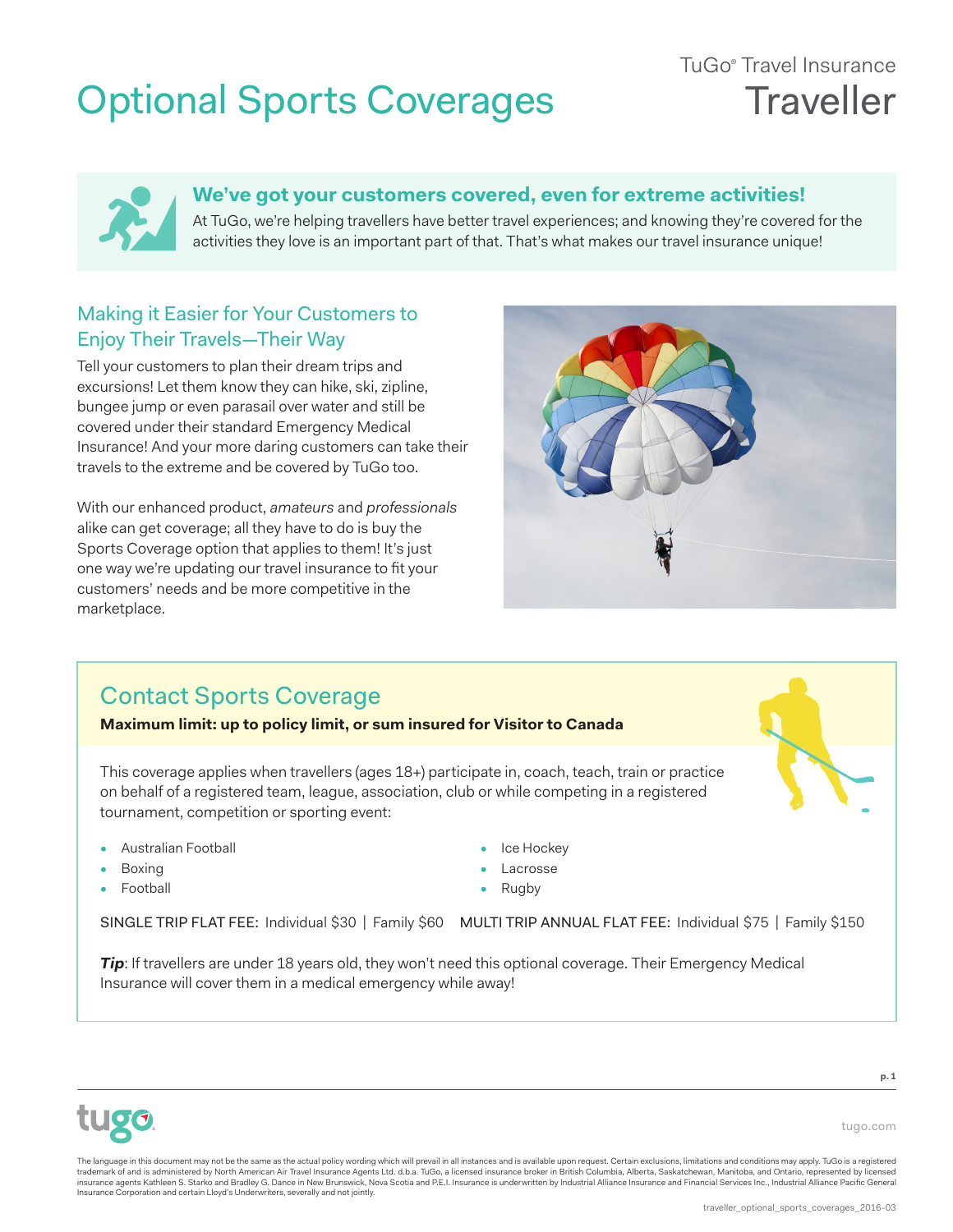## Optional Sports Coverages

## TuGo® Travel Insurance **Traveller**



#### **We've got your customers covered, even for extreme activities!**

At TuGo, we're helping travellers have better travel experiences; and knowing they're covered for the activities they love is an important part of that. That's what makes our travel insurance unique!

### Making it Easier for Your Customers to Enjoy Their Travels—Their Way

Tell your customers to plan their dream trips and excursions! Let them know they can hike, ski, zipline, bungee jump or even parasail over water and still be covered under their standard Emergency Medical Insurance! And your more daring customers can take their travels to the extreme and be covered by TuGo too.

With our enhanced product, *amateurs* and *professionals* alike can get coverage; all they have to do is buy the Sports Coverage option that applies to them! It's just one way we're updating our travel insurance to fit your customers' needs and be more competitive in the marketplace.

## Contact Sports Coverage

**Maximum limit: up to policy limit, or sum insured for Visitor to Canada**

This coverage applies when travellers (ages 18+) participate in, coach, teach, train or practice on behalf of a registered team, league, association, club or while competing in a registered tournament, competition or sporting event:

- Australian Football
- Boxing
- **Football**
- Ice Hockey
- Lacrosse
- **Rugby**

SINGLE TRIP FLAT FEE: Individual \$30 | Family \$60 MULTI TRIP ANNUAL FLAT FEE: Individual \$75 | Family \$150

*Tip*: If travellers are under 18 years old, they won't need this optional coverage. Their Emergency Medical Insurance will cover them in a medical emergency while away!



**p. 1**

tugo.com

The language in this document may not be the same as the actual policy wording which will prevail in all instances and is available upon request. Certain exclusions, limitations and conditions may apply. TuGo is a register insurance agents Kathleen S. Starko and Bradley G. Dance in New Brunswick, Nova Scotia and P.E.I. Insurance is underwritten by Industrial Alliance Insurance and Financial Services Inc., Industrial Alliance Pacific General Insurance Corporation and certain Lloyd's Underwriters, severally and not jointly.